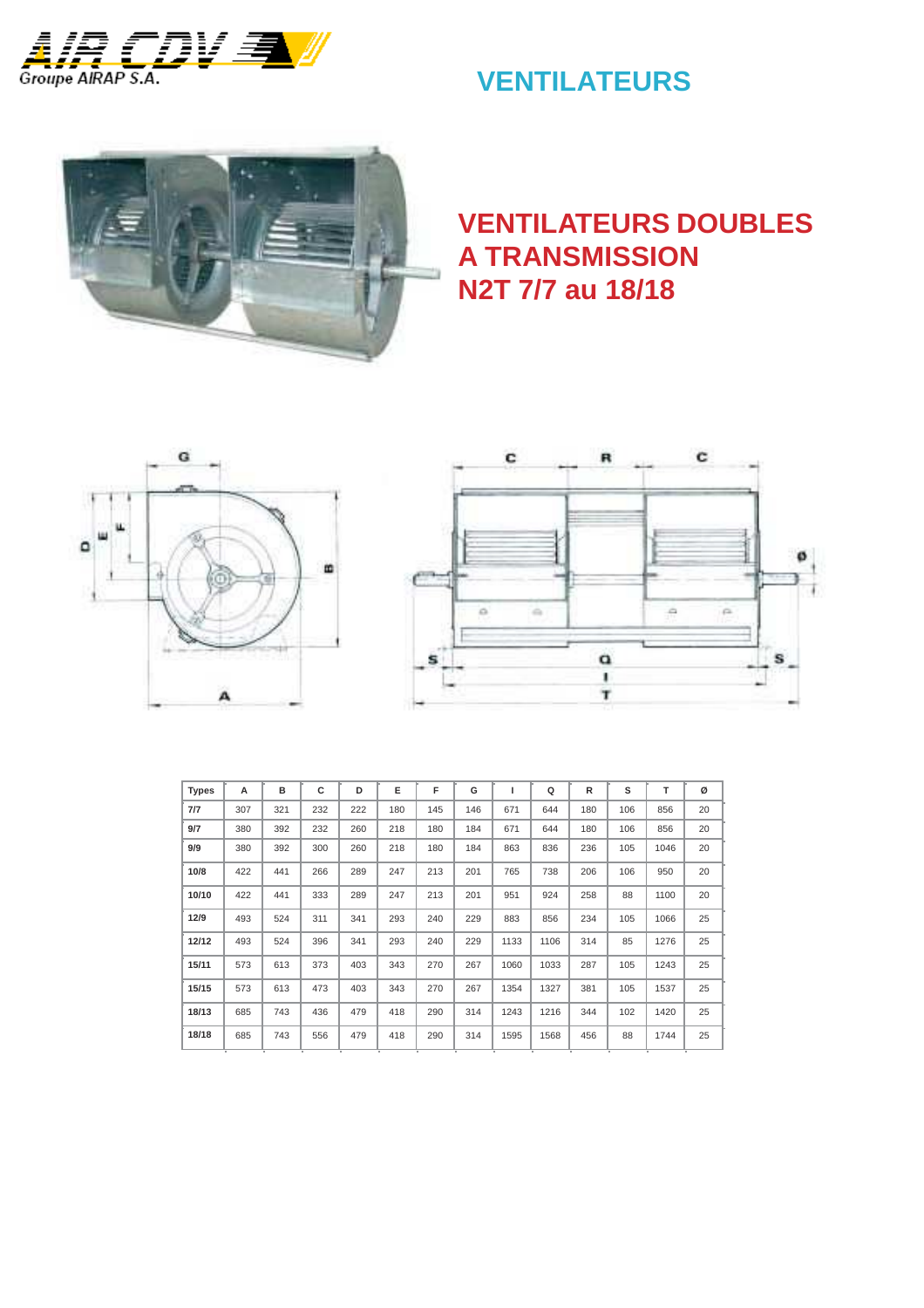

# **VENTILATEURS**



# **VENTILATEURS DOUBLES A TRANSMISSION N2T 7/7 au 18/18**





| <b>Types</b> | A   | в   | c   | D   | E   | F   | G   |      | Q    | R   | s   | т    | ø  |
|--------------|-----|-----|-----|-----|-----|-----|-----|------|------|-----|-----|------|----|
| 7/7          | 307 | 321 | 232 | 222 | 180 | 145 | 146 | 671  | 644  | 180 | 106 | 856  | 20 |
| 9/7          | 380 | 392 | 232 | 260 | 218 | 180 | 184 | 671  | 644  | 180 | 106 | 856  | 20 |
| 9/9          | 380 | 392 | 300 | 260 | 218 | 180 | 184 | 863  | 836  | 236 | 105 | 1046 | 20 |
| 10/8         | 422 | 441 | 266 | 289 | 247 | 213 | 201 | 765  | 738  | 206 | 106 | 950  | 20 |
| 10/10        | 422 | 441 | 333 | 289 | 247 | 213 | 201 | 951  | 924  | 258 | 88  | 1100 | 20 |
| 12/9         | 493 | 524 | 311 | 341 | 293 | 240 | 229 | 883  | 856  | 234 | 105 | 1066 | 25 |
| 12/12        | 493 | 524 | 396 | 341 | 293 | 240 | 229 | 1133 | 1106 | 314 | 85  | 1276 | 25 |
| 15/11        | 573 | 613 | 373 | 403 | 343 | 270 | 267 | 1060 | 1033 | 287 | 105 | 1243 | 25 |
| 15/15        | 573 | 613 | 473 | 403 | 343 | 270 | 267 | 1354 | 1327 | 381 | 105 | 1537 | 25 |
| 18/13        | 685 | 743 | 436 | 479 | 418 | 290 | 314 | 1243 | 1216 | 344 | 102 | 1420 | 25 |
| 18/18        | 685 | 743 | 556 | 479 | 418 | 290 | 314 | 1595 | 1568 | 456 | 88  | 1744 | 25 |